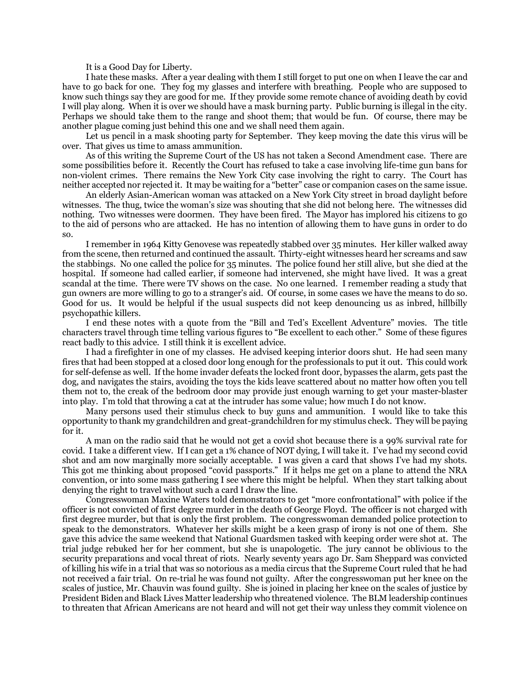It is a Good Day for Liberty.

I hate these masks. After a year dealing with them I still forget to put one on when I leave the car and have to go back for one. They fog my glasses and interfere with breathing. People who are supposed to know such things say they are good for me. If they provide some remote chance of avoiding death by covid I will play along. When it is over we should have a mask burning party. Public burning is illegal in the city. Perhaps we should take them to the range and shoot them; that would be fun. Of course, there may be another plague coming just behind this one and we shall need them again.

Let us pencil in a mask shooting party for September. They keep moving the date this virus will be over. That gives us time to amass ammunition.

As of this writing the Supreme Court of the US has not taken a Second Amendment case. There are some possibilities before it. Recently the Court has refused to take a case involving life-time gun bans for non-violent crimes. There remains the New York City case involving the right to carry. The Court has neither accepted nor rejected it. It may be waiting for a "better" case or companion cases on the same issue.

An elderly Asian-American woman was attacked on a New York City street in broad daylight before witnesses. The thug, twice the woman's size was shouting that she did not belong here. The witnesses did nothing. Two witnesses were doormen. They have been fired. The Mayor has implored his citizens to go to the aid of persons who are attacked. He has no intention of allowing them to have guns in order to do so.

I remember in 1964 Kitty Genovese was repeatedly stabbed over 35 minutes. Her killer walked away from the scene, then returned and continued the assault. Thirty-eight witnesses heard her screams and saw the stabbings. No one called the police for 35 minutes. The police found her still alive, but she died at the hospital. If someone had called earlier, if someone had intervened, she might have lived. It was a great scandal at the time. There were TV shows on the case. No one learned. I remember reading a study that gun owners are more willing to go to a stranger's aid. Of course, in some cases we have the means to do so. Good for us. It would be helpful if the usual suspects did not keep denouncing us as inbred, hillbilly psychopathic killers.

I end these notes with a quote from the "Bill and Ted's Excellent Adventure" movies. The title characters travel through time telling various figures to "Be excellent to each other." Some of these figures react badly to this advice. I still think it is excellent advice.

I had a firefighter in one of my classes. He advised keeping interior doors shut. He had seen many fires that had been stopped at a closed door long enough for the professionals to put it out. This could work for self-defense as well. If the home invader defeats the locked front door, bypasses the alarm, gets past the dog, and navigates the stairs, avoiding the toys the kids leave scattered about no matter how often you tell them not to, the creak of the bedroom door may provide just enough warning to get your master-blaster into play. I'm told that throwing a cat at the intruder has some value; how much I do not know.

Many persons used their stimulus check to buy guns and ammunition. I would like to take this opportunity to thank my grandchildren and great-grandchildren for my stimulus check. They will be paying for it.

A man on the radio said that he would not get a covid shot because there is a 99% survival rate for covid. I take a different view. If I can get a 1% chance of NOT dying, I will take it. I've had my second covid shot and am now marginally more socially acceptable. I was given a card that shows I've had my shots. This got me thinking about proposed "covid passports." If it helps me get on a plane to attend the NRA convention, or into some mass gathering I see where this might be helpful. When they start talking about denying the right to travel without such a card I draw the line.

Congresswoman Maxine Waters told demonstrators to get "more confrontational" with police if the officer is not convicted of first degree murder in the death of George Floyd. The officer is not charged with first degree murder, but that is only the first problem. The congresswoman demanded police protection to speak to the demonstrators. Whatever her skills might be a keen grasp of irony is not one of them. She gave this advice the same weekend that National Guardsmen tasked with keeping order were shot at. The trial judge rebuked her for her comment, but she is unapologetic. The jury cannot be oblivious to the security preparations and vocal threat of riots. Nearly seventy years ago Dr. Sam Sheppard was convicted of killing his wife in a trial that was so notorious as a media circus that the Supreme Court ruled that he had not received a fair trial. On re-trial he was found not guilty. After the congresswoman put her knee on the scales of justice, Mr. Chauvin was found guilty. She is joined in placing her knee on the scales of justice by President Biden and Black Lives Matter leadership who threatened violence. The BLM leadership continues to threaten that African Americans are not heard and will not get their way unless they commit violence on